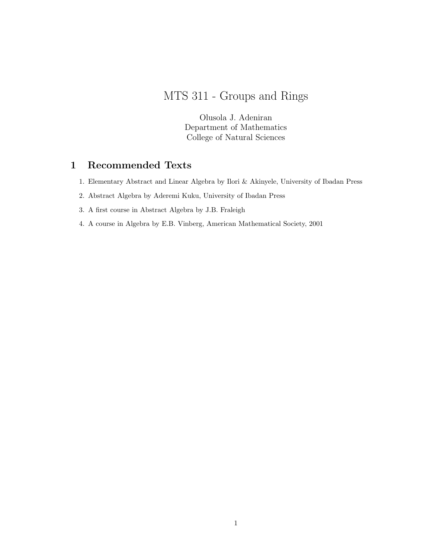# MTS 311 - Groups and Rings

Olusola J. Adeniran Department of Mathematics College of Natural Sciences

# 1 Recommended Texts

- 1. Elementary Abstract and Linear Algebra by Ilori & Akinyele, University of Ibadan Press
- 2. Abstract Algebra by Aderemi Kuku, University of Ibadan Press
- 3. A first course in Abstract Algebra by J.B. Fraleigh
- 4. A course in Algebra by E.B. Vinberg, American Mathematical Society, 2001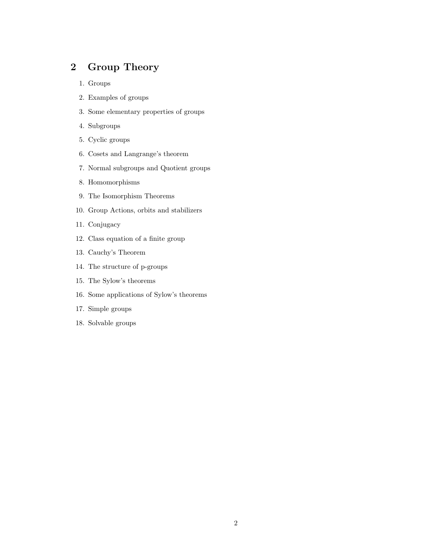# 2 Group Theory

- 1. Groups
- 2. Examples of groups
- 3. Some elementary properties of groups
- 4. Subgroups
- 5. Cyclic groups
- 6. Cosets and Langrange's theorem
- 7. Normal subgroups and Quotient groups
- 8. Homomorphisms
- 9. The Isomorphism Theorems
- 10. Group Actions, orbits and stabilizers
- 11. Conjugacy
- 12. Class equation of a finite group
- 13. Cauchy's Theorem
- 14. The structure of p-groups
- 15. The Sylow's theorems
- 16. Some applications of Sylow's theorems
- 17. Simple groups
- 18. Solvable groups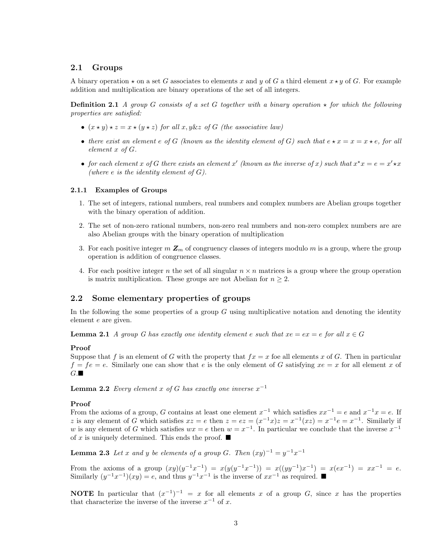# 2.1 Groups

A binary operation  $\star$  on a set G associates to elements x and y of G a third element  $x \star y$  of G. For example addition and multiplication are binary operations of the set of all integers.

**Definition 2.1** A group G consists of a set G together with a binary operation  $\star$  for which the following properties are satisfied:

- $(x \star y) \star z = x \star (y \star z)$  for all x, y&z of G (the associative law)
- there exist an element e of G (known as the identity element of G) such that  $e \star x = x = x \star e$ , for all element x of G.
- for each element x of G there exists an element x' (known as the inverse of x) such that  $x^*x = e = x' \star x$ (where e is the identity element of  $G$ ).

#### 2.1.1 Examples of Groups

- 1. The set of integers, rational numbers, real numbers and complex numbers are Abelian groups together with the binary operation of addition.
- 2. The set of non-zero rational numbers, non-zero real numbers and non-zero complex numbers are are also Abelian groups with the binary operation of multiplication
- 3. For each positive integer  $m \mathbb{Z}_m$  of congruency classes of integers modulo m is a group, where the group operation is addition of congruence classes.
- 4. For each positive integer n the set of all singular  $n \times n$  matrices is a group where the group operation is matrix multiplication. These groups are not Abelian for  $n \geq 2$ .

# 2.2 Some elementary properties of groups

In the following the some properties of a group  $G$  using multiplicative notation and denoting the identity element e are given.

**Lemma 2.1** A group G has exactly one identity element e such that  $xe = ex = e$  for all  $x \in G$ 

#### Proof

Suppose that f is an element of G with the property that  $fx = x$  foe all elements x of G. Then in particular  $f = fe = e$ . Similarly one can show that e is the only element of G satisfying  $xe = x$  for all element x of  $G.\blacksquare$ 

**Lemma 2.2** Every element x of G has exactly one inverse  $x^{-1}$ 

## Proof

From the axioms of a group, G contains at least one element  $x^{-1}$  which satisfies  $xx^{-1} = e$  and  $x^{-1}x = e$ . If z is any element of G which satisfies  $xz = e$  then  $z = ez = (x^{-1}x)z = x^{-1}(xz) = x^{-1}e = x^{-1}$ . Similarly if w is any element of G which satisfies  $wx = e$  then  $w = x^{-1}$ . In particular we conclude that the inverse  $x^{-1}$ of x is uniquely determined. This ends the proof.  $\blacksquare$ 

**Lemma 2.3** Let x and y be elements of a group G. Then  $(xy)^{-1} = y^{-1}x^{-1}$ 

From the axioms of a group  $(xy)(y^{-1}x^{-1}) = x(y(y^{-1}x^{-1})) = x((yy^{-1})x^{-1}) = x(ex^{-1}) = xx^{-1} = e$ . Similarly  $(y^{-1}x^{-1})(xy) = e$ , and thus  $y^{-1}x^{-1}$  is the inverse of  $xx^{-1}$  as required. ■

**NOTE** In particular that  $(x^{-1})^{-1} = x$  for all elements x of a group G, since x has the properties that characterize the inverse of the inverse  $x^{-1}$  of x.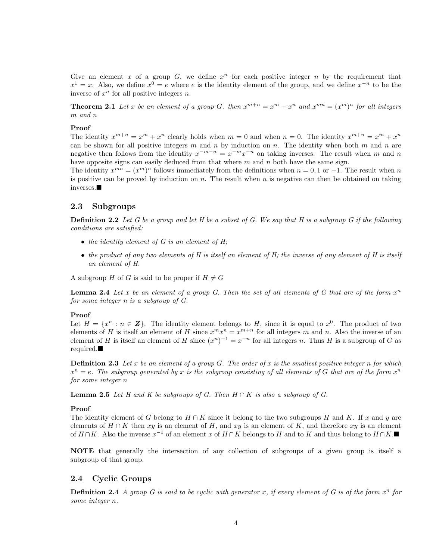Give an element x of a group  $G$ , we define  $x^n$  for each positive integer n by the requirement that  $x^1 = x$ . Also, we define  $x^0 = e$  where e is the identity element of the group, and we define  $x^{-n}$  to be the inverse of  $x^n$  for all positive integers n.

**Theorem 2.1** Let x be an element of a group G. then  $x^{m+n} = x^m + x^n$  and  $x^{mn} = (x^m)^n$  for all integers m and n

## Proof

The identity  $x^{m+n} = x^m + x^n$  clearly holds when  $m = 0$  and when  $n = 0$ . The identity  $x^{m+n} = x^m + x^n$ can be shown for all positive integers m and n by induction on n. The identity when both m and n are negative then follows from the identity  $x^{-m-n} = x^{-m}x^{-n}$  on taking inverses. The result when m and n have opposite signs can easily deduced from that where  $m$  and  $n$  both have the same sign.

The identity  $x^{mn} = (x^m)^n$  follows immediately from the definitions when  $n = 0, 1$  or  $-1$ . The result when n is positive can be proved by induction on  $n$ . The result when  $n$  is negative can then be obtained on taking  $inverses.$ 

# 2.3 Subgroups

**Definition 2.2** Let G be a group and let H be a subset of G. We say that H is a subgroup G if the following conditions are satisfied:

- $\bullet$  the identity element of G is an element of H;
- the product of any two elements of  $H$  is itself an element of  $H$ ; the inverse of any element of  $H$  is itself an element of H.

A subgroup H of G is said to be proper if  $H \neq G$ 

**Lemma 2.4** Let x be an element of a group G. Then the set of all elements of G that are of the form  $x^n$ for some integer n is a subgroup of G.

#### Proof

Let  $H = \{x^n : n \in \mathbb{Z}\}\.$  The identity element belongs to H, since it is equal to  $x^0$ . The product of two elements of H is itself an element of H since  $x^m x^n = x^{m+n}$  for all integers m and n. Also the inverse of an element of H is itself an element of H since  $(x^n)^{-1} = x^{-n}$  for all integers n. Thus H is a subgroup of G as required.

**Definition 2.3** Let x be an element of a group G. The order of x is the smallest positive integer n for which  $x^n = e$ . The subgroup generated by x is the subgroup consisting of all elements of G that are of the form  $x^n$ for some integer n

**Lemma 2.5** Let H and K be subgroups of G. Then  $H \cap K$  is also a subgroup of G.

#### Proof

The identity element of G belong to H ∩ K since it belong to the two subgroups H and K. If x and y are elements of  $H \cap K$  then xy is an element of H, and xy is an element of K, and therefore xy is an element of  $H \cap K$ . Also the inverse  $x^{-1}$  of an element x of  $H \cap K$  belongs to H and to K and thus belong to  $H \cap K$ .

NOTE that generally the intersection of any collection of subgroups of a given group is itself a subgroup of that group.

# 2.4 Cyclic Groups

**Definition 2.4** A group G is said to be cyclic with generator x, if every element of G is of the form  $x^n$  for some integer n.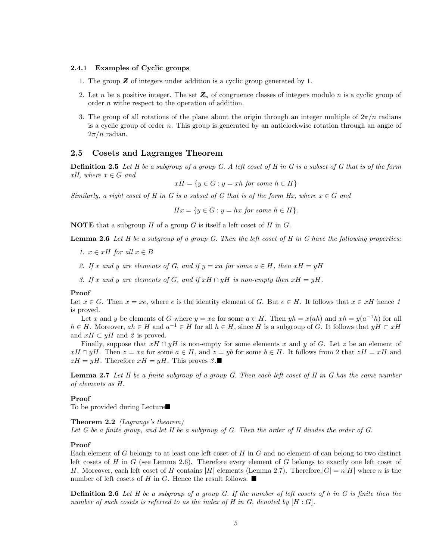## 2.4.1 Examples of Cyclic groups

- 1. The group  $\boldsymbol{Z}$  of integers under addition is a cyclic group generated by 1.
- 2. Let n be a positive integer. The set  $\mathbb{Z}_n$  of congruence classes of integers modulo n is a cyclic group of order n withe respect to the operation of addition.
- 3. The group of all rotations of the plane about the origin through an integer multiple of  $2\pi/n$  radians is a cyclic group of order n. This group is generated by an anticlockwise rotation through an angle of  $2\pi/n$  radian.

## 2.5 Cosets and Lagranges Theorem

**Definition 2.5** Let H be a subgroup of a group G. A left coset of H in G is a subset of G that is of the form  $xH$ , where  $x \in G$  and

$$
xH = \{ y \in G : y = xh \text{ for some } h \in H \}
$$

Similarly, a right coset of H in G is a subset of G that is of the form Hx, where  $x \in G$  and

 $Hx = \{y \in G : y = hx \text{ for some } h \in H\}.$ 

**NOTE** that a subgroup  $H$  of a group  $G$  is itself a left coset of  $H$  in  $G$ .

**Lemma 2.6** Let H be a subgroup of a group G. Then the left coset of H in G have the following properties:

- 1.  $x \in xH$  for all  $x \in B$
- 2. If x and y are elements of G, and if  $y = xa$  for some  $a \in H$ , then  $xH = yH$
- 3. If x and y are elements of G, and if  $xH \cap yH$  is non-empty then  $xH = yH$ .

#### Proof

Let  $x \in G$ . Then  $x = xe$ , where e is the identity element of G. But  $e \in H$ . It follows that  $x \in xH$  hence 1 is proved.

Let x and y be elements of G where  $y = xa$  for some  $a \in H$ . Then  $yh = x(ah)$  and  $xh = y(a^{-1}h)$  for all  $h \in H$ . Moreover,  $ah \in H$  and  $a^{-1} \in H$  for all  $h \in H$ , since H is a subgroup of G. It follows that  $yH \subset xH$ and  $xH \subset yH$  and 2 is proved.

Finally, suppose that  $xH \cap yH$  is non-empty for some elements x and y of G. Let z be an element of  $xH \cap yH$ . Then  $z = xa$  for some  $a \in H$ , and  $z = yb$  for some  $b \in H$ . It follows from 2 that  $zH = xH$  and  $zH = yH$ . Therefore  $xH = yH$ . This proves  $\mathcal{S}.\blacksquare$ 

**Lemma 2.7** Let H be a finite subgroup of a group G. Then each left coset of H in G has the same number of elements as H.

#### Proof

To be provided during Lecture $\blacksquare$ 

#### Theorem 2.2 (Lagrange's theorem)

Let G be a finite group, and let H be a subgroup of G. Then the order of H divides the order of G.

#### Proof

Each element of G belongs to at least one left coset of H in G and no element of can belong to two distinct left cosets of H in G (see Lemma 2.6). Therefore every element of G belongs to exactly one left coset of H. Moreover, each left coset of H contains |H| elements (Lemma 2.7). Therefore,  $|G| = n|H|$  where n is the number of left cosets of H in G. Hence the result follows.  $\blacksquare$ 

**Definition 2.6** Let H be a subgroup of a group G. If the number of left cosets of h in G is finite then the number of such cosets is referred to as the index of H in G, denoted by  $[H:G]$ .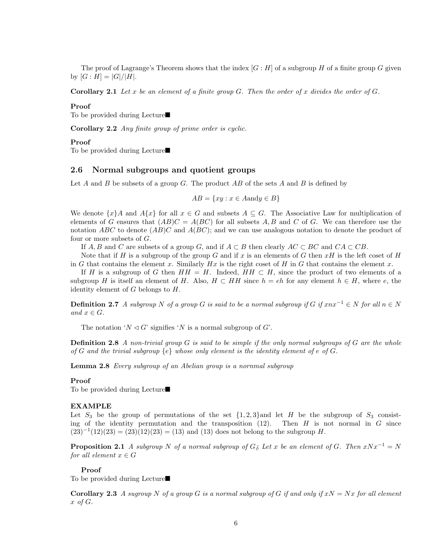The proof of Lagrange's Theorem shows that the index  $[G : H]$  of a subgroup H of a finite group G given by  $[G : H] = |G|/|H|$ .

**Corollary 2.1** Let x be an element of a finite group  $G$ . Then the order of x divides the order of  $G$ .

#### Proof

To be provided during Lecture $\blacksquare$ 

Corollary 2.2 Any finite group of prime order is cyclic.

#### Proof

To be provided during Lecture $\blacksquare$ 

## 2.6 Normal subgroups and quotient groups

Let  $A$  and  $B$  be subsets of a group  $G$ . The product  $AB$  of the sets  $A$  and  $B$  is defined by

 $AB = \{xy : x \in A \text{and} y \in B\}$ 

We denote  $\{x\}A$  and  $A\{x\}$  for all  $x \in G$  and subsets  $A \subseteq G$ . The Associative Law for multiplication of elements of G ensures that  $(AB)C = A(BC)$  for all subsets A, B and C of G. We can therefore use the notation ABC to denote  $(AB)C$  and  $A(BC)$ ; and we can use analogous notation to denote the product of four or more subsets of G.

If  $A, B$  and C are subsets of a group G, and if  $A \subset B$  then clearly  $AC \subset BC$  and  $CA \subset CB$ .

Note that if H is a subgroup of the group G and if x is an elements of G then  $xH$  is the left coset of H in G that contains the element x. Similarly Hx is the right coset of H in G that contains the element x.

If H is a subgroup of G then  $HH = H$ . Indeed,  $HH \subset H$ , since the product of two elements of a subgroup H is itself an element of H. Also,  $H \subset HH$  since  $h = eh$  for any element  $h \in H$ , where e, the identity element of  $G$  belongs to  $H$ .

**Definition 2.7** A subgroup N of a group G is said to be a normal subgroup if G if  $xnx^{-1} \in N$  for all  $n \in N$ and  $x \in G$ .

The notation ' $N \triangleleft G$ ' signifies 'N is a normal subgroup of G'.

**Definition 2.8** A non-trivial group  $G$  is said to be simple if the only normal subgroups of  $G$  are the whole of G and the trivial subgroup  $\{e\}$  whose only element is the identity element of e of G.

Lemma 2.8 Every subgroup of an Abelian group is a nornmal subgroup

#### Proof

To be provided during Lecture

#### EXAMPLE

Let  $S_3$  be the group of permutations of the set  $\{1,2,3\}$  and let H be the subgroup of  $S_3$  consisting of the identity permutation and the transposition  $(12)$ . Then H is not normal in G since  $(23)^{-1}(12)(23) = (23)(12)(23) = (13)$  and  $(13)$  does not belong to the subgroup H.

**Proposition 2.1** A subgroup N of a normal subgroup of  $G_{\delta}$  Let x be an element of G. Then  $xNx^{-1} = N$ for all element  $x \in G$ 

#### Proof

To be provided during Lecture $\blacksquare$ 

**Corollary 2.3** A sugroup N of a group G is a normal subgroup of G if and only if  $xN = Nx$  for all element  $x \text{ of } G.$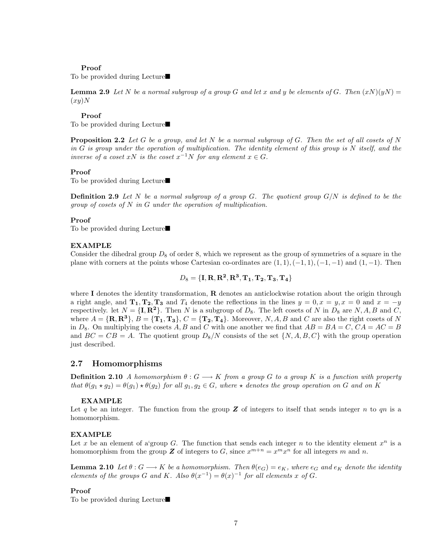#### Proof

To be provided during Lecture $\blacksquare$ 

**Lemma 2.9** Let N be a normal subgroup of a group G and let x and y be elements of G. Then  $(xN)(yN) =$  $(xy)N$ 

## Proof

To be provided during Lecture $\blacksquare$ 

**Proposition 2.2** Let G be a group, and let N be a normal subgroup of G. Then the set of all cosets of N in G is group under the operation of multiplication. The identity element of this group is  $N$  itself, and the inverse of a coset xN is the coset  $x^{-1}N$  for any element  $x \in G$ .

#### Proof

To be provided during Lecture

**Definition 2.9** Let N be a normal subgroup of a group G. The quotient group  $G/N$  is defined to be the group of cosets of  $N$  in  $G$  under the operation of multiplication.

#### Proof

To be provided during Lecture $\blacksquare$ 

#### EXAMPLE

Consider the dihedral group  $D_8$  of order 8, which we represent as the group of symmetries of a square in the plane with corners at the points whose Cartesian co-ordinates are  $(1, 1), (-1, 1), (-1, -1)$  and  $(1, -1)$ . Then

$$
D_8 = \{\mathbf{I}, \mathbf{R}, \mathbf{R^2}, \mathbf{R^3}, \mathbf{T_1}, \mathbf{T_2}, \mathbf{T_3}, \mathbf{T_4}\}
$$

where I denotes the identity transformation,  $\bf{R}$  denotes an anticlockwise rotation about the origin through a right angle, and  $T_1, T_2, T_3$  and  $T_4$  denote the reflections in the lines  $y = 0, x = y, x = 0$  and  $x = -y$ respectively. let  $N = \{\mathbf{I}, \mathbf{R}^2\}$ . Then N is a subgroup of  $D_8$ . The left cosets of N in  $D_8$  are N, A, B and C, where  $A = \{R, R^3\}, B = \{T_1, T_3\}, C = \{T_2, T_4\}.$  Moreover, N, A, B and C are also the right cosets of N in  $D_8$ . On multiplying the cosets A, B and C with one another we find that  $AB = BA = C$ ,  $CA = AC = B$ and  $BC = CB = A$ . The quotient group  $D_8/N$  consists of the set  $\{N, A, B, C\}$  with the group operation just described.

### 2.7 Homomorphisms

**Definition 2.10** A homomorphism  $\theta: G \longrightarrow K$  from a group G to a group K is a function with property that  $\theta(g_1 \star g_2) = \theta(g_1) \star \theta(g_2)$  for all  $g_1, g_2 \in G$ , where  $\star$  denotes the group operation on G and on K

#### EXAMPLE

Let q be an integer. The function from the group  $\mathbb Z$  of integers to itself that sends integer n to qn is a homomorphism.

#### EXAMPLE

Let x be an element of a group G. The function that sends each integer n to the identity element  $x^n$  is a homomorphism from the group **Z** of integers to G, since  $x^{m+n} = x^m x^n$  for all integers m and n.

**Lemma 2.10** Let  $\theta: G \longrightarrow K$  be a homomorphism. Then  $\theta(e_G) = e_K$ , where  $e_G$  and  $e_K$  denote the identity elements of the groups G and K. Also  $\theta(x^{-1}) = \theta(x)^{-1}$  for all elements x of G.

#### Proof

To be provided during Lecture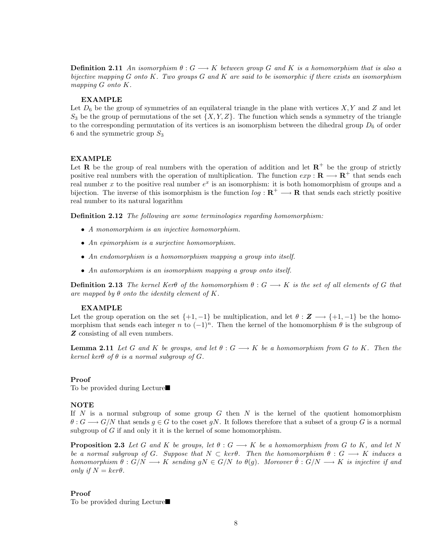**Definition 2.11** An isomorphism  $\theta: G \longrightarrow K$  between group G and K is a homomorphism that is also a bijective mapping  $G$  onto  $K$ . Two groups  $G$  and  $K$  are said to be isomorphic if there exists an isomorphism mapping G onto K.

#### EXAMPLE

Let  $D_6$  be the group of symmetries of an equilateral triangle in the plane with vertices  $X, Y$  and  $Z$  and let  $S_3$  be the group of permutations of the set  $\{X, Y, Z\}$ . The function which sends a symmetry of the triangle to the corresponding permutation of its vertices is an isomorphism between the dihedral group  $D_6$  of order 6 and the symmetric group  $S_3$ 

## EXAMPLE

Let **R** be the group of real numbers with the operation of addition and let  $\mathbb{R}^+$  be the group of strictly positive real numbers with the operation of multiplication. The function  $exp : \mathbf{R} \longrightarrow \mathbf{R}^+$  that sends each real number x to the positive real number  $e^x$  is an isomorphism: it is both homomorphism of groups and a bijection. The inverse of this isomorphism is the function  $log : \mathbb{R}^+ \longrightarrow \mathbb{R}$  that sends each strictly positive real number to its natural logarithm

**Definition 2.12** The following are some terminologies regarding homomorphism:

- A monomorphism is an injective homomorphism.
- An epimorphism is a surjective homomorphism.
- An endomorphism is a homomorphism mapping a group into itself.
- An automorphism is an isomorphism mapping a group onto itself.

**Definition 2.13** The kernel Ker $\theta$  of the homomorphism  $\theta$  :  $G \rightarrow K$  is the set of all elements of G that are mapped by  $\theta$  onto the identity element of K.

#### EXAMPLE

Let the group operation on the set  $\{+1, -1\}$  be multiplication, and let  $\theta : \mathbf{Z} \longrightarrow \{+1, -1\}$  be the homomorphism that sends each integer n to  $(-1)^n$ . Then the kernel of the homomorphism  $\theta$  is the subgroup of **Z** consisting of all even numbers.

**Lemma 2.11** Let G and K be groups, and let  $\theta : G \longrightarrow K$  be a homomorphism from G to K. Then the kernel ker $\theta$  of  $\theta$  is a normal subgroup of G.

#### Proof

To be provided during Lecture $\blacksquare$ 

#### **NOTE**

If N is a normal subgroup of some group G then N is the kernel of the quotient homomorphism  $\theta: G \longrightarrow G/N$  that sends  $q \in G$  to the coset qN. It follows therefore that a subset of a group G is a normal subgroup of  $G$  if and only it it is the kernel of some homomorphism.

**Proposition 2.3** Let G and K be groups, let  $\theta : G \longrightarrow K$  be a homomorphism from G to K, and let N be a normal subgroup of G. Suppose that  $N \subset \text{ker}\theta$ . Then the homomorphism  $\theta : G \longrightarrow K$  induces a homomorphism  $\theta : G/N \longrightarrow K$  sending  $gN \in G/N$  to  $\theta(g)$ . Moreover  $\hat{\theta} : G/N \longrightarrow K$  is injective if and only if  $N = \text{ker}\theta$ .

## Proof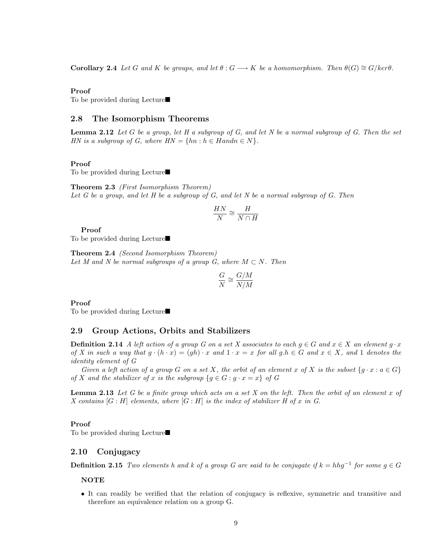**Corollary 2.4** Let G and K be groups, and let  $\theta : G \longrightarrow K$  be a homomorphism. Then  $\theta(G) \cong G/ker \theta$ .

#### Proof

To be provided during Lecture $\blacksquare$ 

## 2.8 The Isomorphism Theorems

**Lemma 2.12** Let G be a group, let H a subgroup of G, and let N be a normal subgroup of G. Then the set HN is a subgroup of G, where  $HN = \{hn : h \in Handn \in N\}.$ 

#### Proof

To be provided during Lecture $\blacksquare$ 

Theorem 2.3 (First Isomorphism Theorem) Let G be a group, and let H be a subgroup of G, and let N be a normal subgroup of G. Then

$$
\frac{HN}{N} \cong \frac{H}{N \cap H}
$$

Proof

To be provided during Lecture $\blacksquare$ 

Theorem 2.4 (Second Isomorphism Theorem) Let M and N be normal subgroups of a group G, where  $M \subset N$ . Then

$$
\frac{G}{N}\cong \frac{G/M}{N/M}
$$

Proof

To be provided during Lecture $\blacksquare$ 

# 2.9 Group Actions, Orbits and Stabilizers

**Definition 2.14** A left action of a group G on a set X associates to each  $g \in G$  and  $x \in X$  an element  $g \cdot x$ of X in such a way that  $g \cdot (h \cdot x) = (gh) \cdot x$  and  $1 \cdot x = x$  for all  $g.h \in G$  and  $x \in X$ , and 1 denotes the identity element of G

Given a left action of a group G on a set X, the orbit of an element x of X is the subset  $\{g \cdot x : a \in G\}$ of X and the stabilizer of x is the subgroup  ${g \in G : g \cdot x = x}$  of G

**Lemma 2.13** Let G be a finite group which acts on a set X on the left. Then the orbit of an element x of X contains  $[G : H]$  elements, where  $[G : H]$  is the index of stabilizer H of x in G.

## Proof

To be provided during Lecture $\blacksquare$ 

## 2.10 Conjugacy

**Definition 2.15** Two elements h and k of a group G are said to be conjugate if  $k = h h g^{-1}$  for some  $g \in G$ 

# **NOTE**

• It can readily be verified that the relation of conjugacy is reflexive, symmetric and transitive and therefore an equivalence relation on a group G.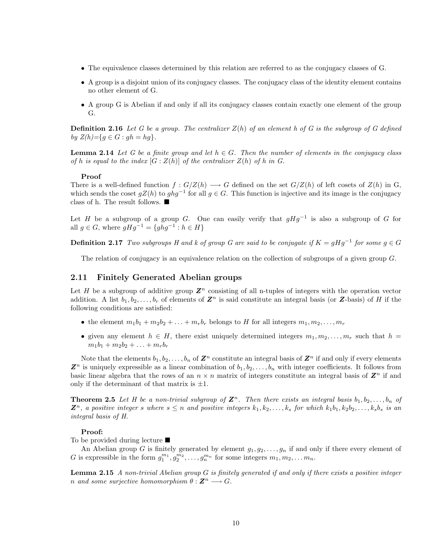- The equivalence classes determined by this relation are referred to as the conjugacy classes of G.
- A group is a disjoint union of its conjugacy classes. The conjugacy class of the identity element contains no other element of G.
- A group G is Abelian if and only if all its conjugacy classes contain exactly one element of the group G.

**Definition 2.16** Let G be a group. The centralizer  $Z(h)$  of an element h of G is the subgroup of G defined by  $Z(h) = \{ g \in G : gh = hg \}.$ 

**Lemma 2.14** Let G be a finite group and let  $h \in G$ . Then the number of elements in the conjugacy class of h is equal to the index  $[G:Z(h)]$  of the centralizer  $Z(h)$  of h in G.

#### Proof

There is a well-defined function  $f: G/Z(h) \longrightarrow G$  defined on the set  $G/Z(h)$  of left cosets of  $Z(h)$  in G, which sends the coset  $gZ(h)$  to  $ghg^{-1}$  for all  $g \in G$ . This function is injective and its image is the conjugacy class of h. The result follows.  $\blacksquare$ 

Let H be a subgroup of a group G. One can easily verify that  $gHg^{-1}$  is also a subgroup of G for all  $g \in G$ , where  $gHg^{-1} = \{ghg^{-1} : h \in H\}$ 

**Definition 2.17** Two subgroups H and k of group G are said to be conjugate if  $K = gHg^{-1}$  for some  $g \in G$ 

The relation of conjugacy is an equivalence relation on the collection of subgroups of a given group G.

# 2.11 Finitely Generated Abelian groups

Let H be a subgroup of additive group  $\mathbb{Z}^n$  consisting of all n-tuples of integers with the operation vector addition. A list  $b_1, b_2, \ldots, b_r$  of elements of  $\mathbb{Z}^n$  is said constitute an integral basis (or  $\mathbb{Z}$ -basis) of H if the following conditions are satisfied:

- the element  $m_1b_1 + m_2b_2 + \ldots + m_rb_r$  belongs to H for all integers  $m_1, m_2, \ldots, m_r$
- given any element  $h \in H$ , there exist uniquely determined integers  $m_1, m_2, \ldots, m_r$  such that  $h =$  $m_1b_1 + m_2b_2 + \ldots + m_rb_r$

Note that the elements  $b_1, b_2, \ldots, b_n$  of  $\mathbb{Z}^n$  constitute an integral basis of  $\mathbb{Z}^n$  if and only if every elements  $\mathbf{Z}^n$  is uniquely expressible as a linear combination of  $b_1, b_2, \ldots, b_n$  with integer coefficients. It follows from basic linear algebra that the rows of an  $n \times n$  matrix of integers constitute an integral basis of  $\mathbb{Z}^n$  if and only if the determinant of that matrix is  $\pm 1$ .

**Theorem 2.5** Let H be a non-trivial subgroup of  $\mathbb{Z}^n$ . Then there exists an integral basis  $b_1, b_2, \ldots, b_n$  of  $\mathbb{Z}^n$ , a positive integer s where  $s \leq n$  and positive integers  $k_1, k_2, \ldots, k_s$  for which  $k_1b_1, k_2b_2, \ldots, k_sb_s$  is an integral basis of H.

#### Proof:

To be provided during lecture  $\blacksquare$ 

An Abelian group G is finitely generated by element  $g_1, g_2, \ldots, g_n$  if and only if there every element of G is expressible in the form  $g_1^{m_1}, g_2^{m_2}, \ldots, g_n^{m_n}$  for some integers  $m_1, m_2, \ldots m_n$ .

Lemma 2.15 A non-trivial Abelian group G is finitely generated if and only if there exists a positive integer n and some surjective homomorphism  $\theta : \mathbb{Z}^n \longrightarrow G$ .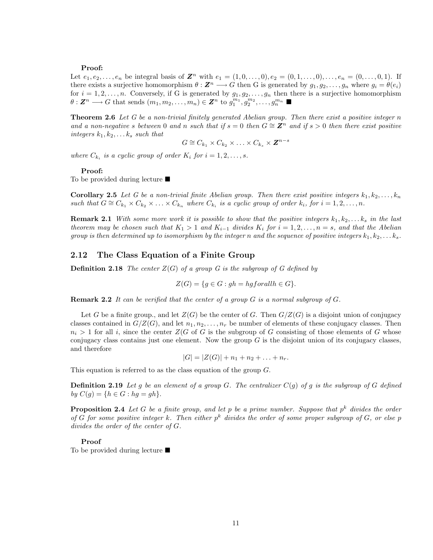## Proof:

Let  $e_1, e_2, \ldots, e_n$  be integral basis of  $\mathbf{Z}^n$  with  $e_1 = (1, 0, \ldots, 0), e_2 = (0, 1, \ldots, 0), \ldots, e_n = (0, \ldots, 0, 1)$ . If there exists a surjective homomorphism  $\theta : \mathbf{Z}^n \longrightarrow G$  then G is generated by  $g_1, g_2, \ldots, g_n$  where  $g_i = \theta(e_i)$ for  $i = 1, 2, \ldots, n$ . Conversely, if G is generated by  $g_1, g_2, \ldots, g_n$  then there is a surjective homomorphism  $\theta: \mathbf{Z}^n \longrightarrow G$  that sends  $(m_1, m_2, \ldots, m_n) \in \mathbf{Z}^n$  to  $g_1^{m_1}, g_2^{m_2}, \ldots, g_n^{m_n}$ 

Theorem 2.6 Let G be a non-trivial finitely generated Abelian group. Then there exist a positive integer n and a non-negative s between 0 and n such that if  $s = 0$  then  $G \cong \mathbb{Z}^n$  and if  $s > 0$  then there exist positive integers  $k_1, k_2, \ldots k_s$  such that

$$
G \cong C_{k_1} \times C_{k_2} \times \ldots \times C_{k_s} \times \mathbf{Z}^{n-s}
$$

where  $C_{k_i}$  is a cyclic group of order  $K_i$  for  $i = 1, 2, \ldots, s$ .

#### Proof:

To be provided during lecture  $\blacksquare$ 

**Corollary 2.5** Let G be a non-trivial finite Abelian group. Then there exist positive integers  $k_1, k_2, \ldots, k_n$ such that  $G \cong C_{k_1} \times C_{k_2} \times \ldots \times C_{k_n}$  where  $C_{k_i}$  is a cyclic group of order  $k_i$ , for  $i = 1, 2, \ldots, n$ .

**Remark 2.1** With some more work it is possible to show that the positive integers  $k_1, k_2, \ldots k_s$  in the last theorem may be chosen such that  $K_1 > 1$  and  $K_{i-1}$  divides  $K_i$  for  $i = 1, 2, \ldots, n = s$ , and that the Abelian group is then determined up to isomorphism by the integer n and the sequence of positive integers  $k_1, k_2, \ldots k_s$ .

## 2.12 The Class Equation of a Finite Group

**Definition 2.18** The center  $Z(G)$  of a group G is the subgroup of G defined by

$$
Z(G) = \{ g \in G : gh = hgforallh \in G \}.
$$

**Remark 2.2** It can be verified that the center of a group  $G$  is a normal subgroup of  $G$ .

Let G be a finite group., and let  $Z(G)$  be the center of G. Then  $G/Z(G)$  is a disjoint union of conjugacy classes contained in  $G/Z(G)$ , and let  $n_1, n_2, \ldots, n_r$  be number of elements of these conjugacy classes. Then  $n_i > 1$  for all i, since the center  $Z(G$  of G is the subgroup of G consisting of those elements of G whose conjugacy class contains just one element. Now the group  $G$  is the disjoint union of its conjugacy classes, and therefore

 $|G| = |Z(G)| + n_1 + n_2 + \ldots + n_r.$ 

This equation is referred to as the class equation of the group G.

**Definition 2.19** Let g be an element of a group G. The centralizer  $C(g)$  of g is the subgroup of G defined by  $C(g) = \{ h \in G : hg = gh \}.$ 

**Proposition 2.4** Let G be a finite group, and let p be a prime number. Suppose that  $p^k$  divides the order of G for some positive integer k. Then either  $p^k$  divides the order of some proper subgroup of G, or else p divides the order of the center of G.

#### Proof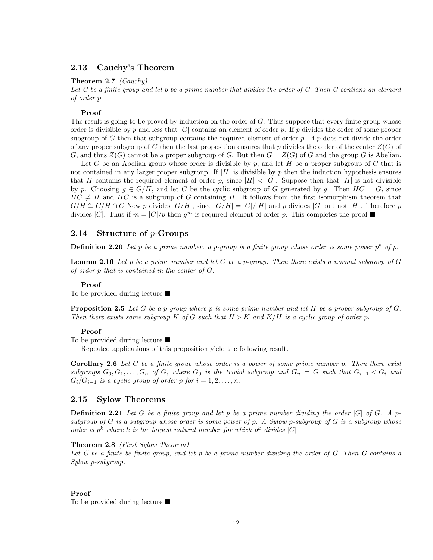# 2.13 Cauchy's Theorem

## Theorem 2.7 (Cauchy)

Let  $G$  be a finite group and let  $p$  be a prime number that divides the order of  $G$ . Then  $G$  contians an element of order p

## Proof

The result is going to be proved by induction on the order of G. Thus suppose that every finite group whose order is divisible by p and less that |G| contains an element of order p. If p divides the order of some proper subgroup of G then that subgroup contains the required element of order p. If p does not divide the order of any proper subgroup of G then the last proposition ensures that p divides the order of the center  $Z(G)$  of G, and thus  $Z(G)$  cannot be a proper subgroup of G. But then  $G = Z(G)$  of G and the group G is Abelian.

Let G be an Abelian group whose order is divisible by  $p$ , and let H be a proper subgroup of G that is not contained in any larger proper subgroup. If  $|H|$  is divisible by p then the induction hypothesis ensures that H contains the required element of order p, since  $|H| < |G|$ . Suppose then that  $|H|$  is not divisible by p. Choosing  $g \in G/H$ , and let C be the cyclic subgroup of G generated by g. Then  $HC = G$ , since  $HC \neq H$  and  $HC$  is a subgroup of G containing H. It follows from the first isomorphism theorem that  $G/H \cong C/H \cap C$  Now p divides  $|G/H|$ , since  $|G/H| = |G|/|H|$  and p divides  $|G|$  but not  $|H|$ . Therefore p divides |C|. Thus if  $m = |C|/p$  then  $g<sup>m</sup>$  is required element of order p. This completes the proof

## 2.14 Structure of p-Groups

**Definition 2.20** Let p be a prime number. a p-group is a finite group whose order is some power  $p^k$  of p.

**Lemma 2.16** Let p be a prime number and let G be a p-group. Then there exists a normal subgroup of G of order p that is contained in the center of G.

#### Proof

To be provided during lecture  $\blacksquare$ 

**Proposition 2.5** Let G be a p-group where p is some prime number and let H be a proper subgroup of G. Then there exists some subgroup K of G such that  $H \triangleright K$  and  $K/H$  is a cyclic group of order p.

#### Proof

To be provided during lecture  $\blacksquare$ 

Repeated applications of this proposition yield the following result.

Corollary 2.6 Let G be a finite group whose order is a power of some prime number p. Then there exist subgroups  $G_0, G_1, \ldots, G_n$  of G, where  $G_0$  is the trivial subgroup and  $G_n = G$  such that  $G_{i-1} \lhd G_i$  and  $G_i/G_{i-1}$  is a cyclic group of order p for  $i = 1, 2, \ldots, n$ .

### 2.15 Sylow Theorems

**Definition 2.21** Let G be a finite group and let p be a prime number dividing the order  $|G|$  of G. A psubgroup of  $G$  is a subgroup whose order is some power of p. A Sylow p-subgroup of  $G$  is a subgroup whose order is  $p^k$  where k is the largest natural number for which  $p^k$  divides  $|G|$ .

## Theorem 2.8 (First Sylow Theorem)

Let G be a finite be finite group, and let p be a prime number dividing the order of G. Then G contains a Sylow p-subgroup.

#### Proof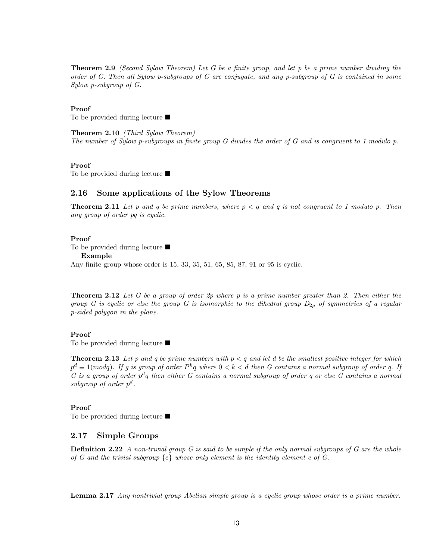Theorem 2.9 (Second Sylow Theorem) Let G be a finite group, and let p be a prime number dividing the order of G. Then all Sylow p-subgroups of G are conjugate, and any p-subgroup of G is contained in some Sylow p-subgroup of G.

## Proof

To be provided during lecture  $\blacksquare$ 

Theorem 2.10 (Third Sylow Theorem) The number of Sylow p-subgroups in finite group G divides the order of G and is congruent to 1 modulo p.

#### Proof

To be provided during lecture  $\blacksquare$ 

## 2.16 Some applications of the Sylow Theorems

**Theorem 2.11** Let p and q be prime numbers, where  $p < q$  and q is not congruent to 1 modulo p. Then any group of order pq is cyclic.

#### Proof

To be provided during lecture  $\blacksquare$ 

Example

Any finite group whose order is 15, 33, 35, 51, 65, 85, 87, 91 or 95 is cyclic.

**Theorem 2.12** Let G be a group of order  $2p$  where p is a prime number greater than 2. Then either the group G is cyclic or else the group G is isomorphic to the dihedral group  $D_{2p}$  of symmetries of a regular p-sided polygon in the plane.

## Proof

To be provided during lecture  $\blacksquare$ 

**Theorem 2.13** Let p and q be prime numbers with  $p < q$  and let d be the smallest positive integer for which  $p^d \equiv 1 (mod q)$ . If g is group of order  $P^k q$  where  $0 < k < d$  then G contains a normal subgroup of order q. If G is a group of order  $p^dq$  then either G contains a normal subgroup of order q or else G contains a normal subgroup of order  $p^d$ .

## Proof

To be provided during lecture  $\blacksquare$ 

# 2.17 Simple Groups

**Definition 2.22** A non-trivial group  $G$  is said to be simple if the only normal subgroups of  $G$  are the whole of G and the trivial subgroup  $\{e\}$  whose only element is the identity element e of G.

Lemma 2.17 Any nontrivial group Abelian simple group is a cyclic group whose order is a prime number.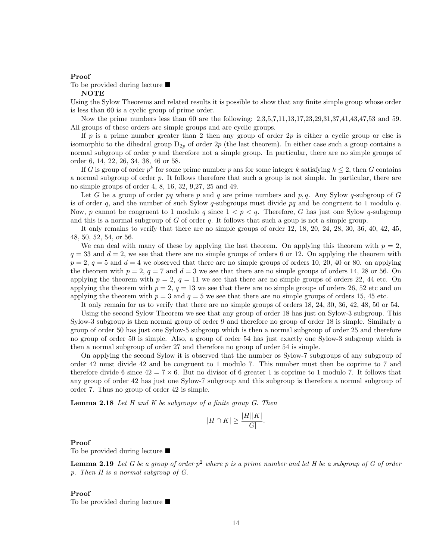#### Proof

To be provided during lecture  $\blacksquare$ 

#### NOTE

Using the Sylow Theorems and related results it is possible to show that any finite simple group whose order is less than 60 is a cyclic group of prime order.

Now the prime numbers less than 60 are the following: 2,3,5,7,11,13,17,23,29,31,37,41,43,47,53 and 59. All groups of these orders are simple groups and are cyclic groups.

If p is a prime number greater than 2 then any group of order  $2p$  is either a cyclic group or else is isomorphic to the dihedral group  $D_{2p}$  of order  $2p$  (the last theorem). In either case such a group contains a normal subgroup of order  $p$  and therefore not a simple group. In particular, there are no simple groups of order 6, 14, 22, 26, 34, 38, 46 or 58.

If G is group of order  $p^k$  for some prime number p ans for some integer k satisfying  $k \leq 2$ , then G contains a normal subgroup of order  $p$ . It follows therefore that such a group is not simple. In particular, there are no simple groups of order 4, 8, 16, 32, 9,27, 25 and 49.

Let G be a group of order pq where p and q are prime numbers and p, q. Any Sylow q-subgroup of G is of order q, and the number of such Sylow q-subgroups must divide pq and be congruent to 1 modulo q. Now, p cannot be congruent to 1 modulo q since  $1 < p < q$ . Therefore, G has just one Sylow q-subgroup and this is a normal subgroup of  $G$  of order  $q$ . It follows that such a goup is not a simple group.

It only remains to verify that there are no simple groups of order 12, 18, 20, 24, 28, 30, 36, 40, 42, 45, 48, 50, 52, 54, or 56.

We can deal with many of these by applying the last theorem. On applying this theorem with  $p = 2$ ,  $q = 33$  and  $d = 2$ , we see that there are no simple groups of orders 6 or 12. On applying the theorem with  $p = 2$ ,  $q = 5$  and  $d = 4$  we observed that there are no simple groups of orders 10, 20, 40 or 80. on applying the theorem with  $p = 2$ ,  $q = 7$  and  $d = 3$  we see that there are no simple groups of orders 14, 28 or 56. On applying the theorem with  $p = 2$ ,  $q = 11$  we see that there are no simple groups of orders 22, 44 etc. On applying the theorem with  $p = 2$ ,  $q = 13$  we see that there are no simple groups of orders 26, 52 etc and on applying the theorem with  $p = 3$  and  $q = 5$  we see that there are no simple groups of orders 15, 45 etc.

It only remain for us to verify that there are no simple groups of orders 18, 24, 30, 36, 42, 48, 50 or 54.

Using the second Sylow Theorem we see that any group of order 18 has just on Sylow-3 subgroup. This Sylow-3 subgroup is then normal group of order 9 and therefore no group of order 18 is simple. Similarly a group of order 50 has just one Sylow-5 subgroup which is then a normal subgroup of order 25 and therefore no group of order 50 is simple. Also, a group of order 54 has just exactly one Sylow-3 subgroup which is then a normal subgroup of order 27 and therefore no group of order 54 is simple.

On applying the second Sylow it is observed that the number os Sylow-7 subgroups of any subgroup of order 42 must divide 42 and be congruent to 1 modulo 7. This number must then be coprime to 7 and therefore divide 6 since  $42 = 7 \times 6$ . But no divisor of 6 greater 1 is coprime to 1 modulo 7. It follows that any group of order 42 has just one Sylow-7 subgroup and this subgroup is therefore a normal subgroup of order 7. Thus no group of order 42 is simple.

**Lemma 2.18** Let H and K be subgroups of a finite group  $G$ . Then

$$
|H \cap K| \ge \frac{|H||K|}{|G|}.
$$

#### Proof

To be provided during lecture  $\blacksquare$ 

**Lemma 2.19** Let G be a group of order  $p^2$  where p is a prime number and let H be a subgroup of G of order p. Then H is a normal subgroup of G.

Proof